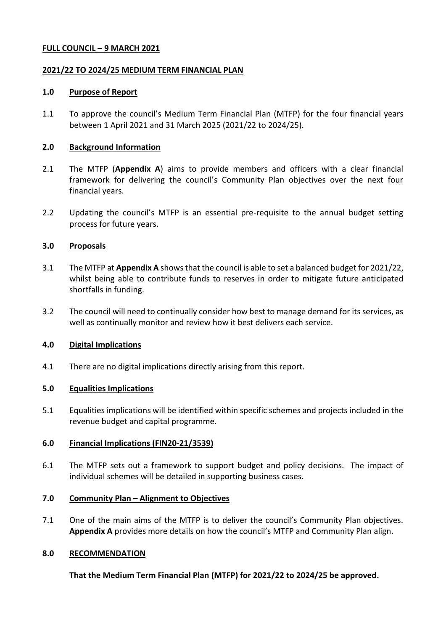#### **FULL COUNCIL – 9 MARCH 2021**

### <span id="page-0-1"></span><span id="page-0-0"></span>**2021/22 TO 2024/25 MEDIUM TERM FINANCIAL PLAN**

#### **1.0 Purpose of Report**

1.1 To approve the council's Medium Term Financial Plan (MTFP) for the four financial years between 1 April 2021 and 31 March 2025 [\(2021/22](#page-0-0) to [2024/25\)](#page-0-1).

### **2.0 Background Information**

- 2.1 The MTFP (**Appendix A**) aims to provide members and officers with a clear financial framework for delivering the council's Community Plan objectives over the next four financial years.
- 2.2 Updating the council's MTFP is an essential pre-requisite to the annual budget setting process for future years.

#### **3.0 Proposals**

- 3.1 The MTFP at **Appendix A** shows that the council is able to set a balanced budget fo[r 2021/22,](#page-0-0) whilst being able to contribute funds to reserves in order to mitigate future anticipated shortfalls in funding.
- 3.2 The council will need to continually consider how best to manage demand for its services, as well as continually monitor and review how it best delivers each service.

# **4.0 Digital Implications**

4.1 There are no digital implications directly arising from this report.

# **5.0 Equalities Implications**

5.1 Equalities implications will be identified within specific schemes and projects included in the revenue budget and capital programme.

# **6.0 Financial Implications (FIN20-21/3539)**

6.1 The MTFP sets out a framework to support budget and policy decisions. The impact of individual schemes will be detailed in supporting business cases.

# **7.0 Community Plan – Alignment to Objectives**

7.1 One of the main aims of the MTFP is to deliver the council's Community Plan objectives. **Appendix A** provides more details on how the council's MTFP and Community Plan align.

#### **8.0 RECOMMENDATION**

**That the Medium Term Financial Plan (MTFP) fo[r 2021/22](#page-0-0) to [2024/25](#page-0-1) be approved.**